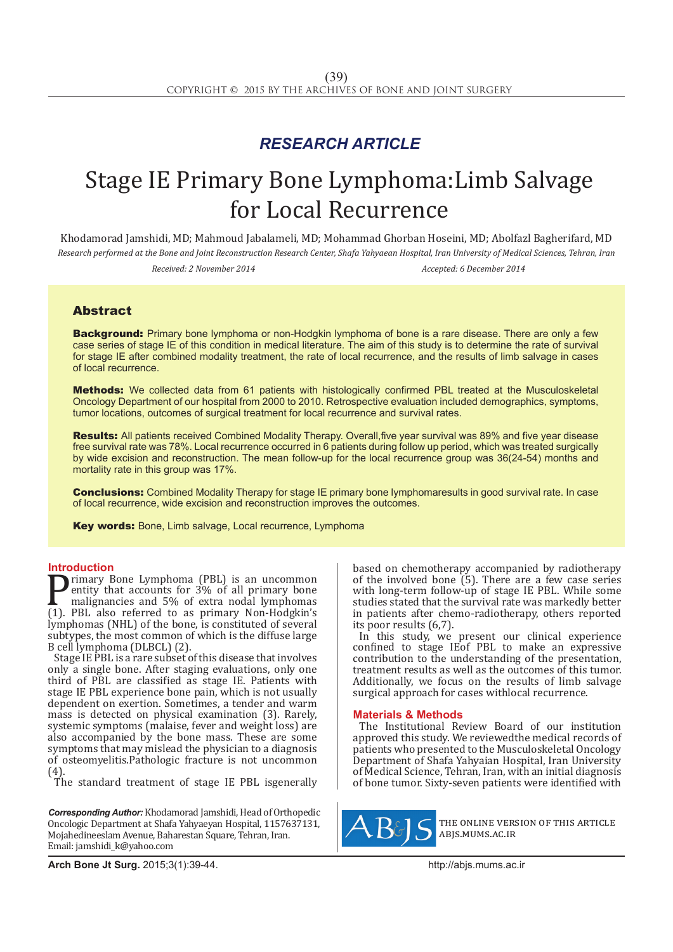## *RESEARCH ARTICLE*

# Stage IE Primary Bone Lymphoma:Limb Salvage for Local Recurrence

Khodamorad Jamshidi, MD; Mahmoud Jabalameli, MD; Mohammad Ghorban Hoseini, MD; Abolfazl Bagherifard, MD *Research performed at the Bone and Joint Reconstruction Research Center, Shafa Yahyaean Hospital, Iran University of Medical Sciences, Tehran, Iran*

*Received: 2 November 2014 Accepted: 6 December 2014*

### Abstract

**Background:** Primary bone lymphoma or non-Hodgkin lymphoma of bone is a rare disease. There are only a few case series of stage IE of this condition in medical literature. The aim of this study is to determine the rate of survival for stage IE after combined modality treatment, the rate of local recurrence, and the results of limb salvage in cases of local recurrence.

Methods: We collected data from 61 patients with histologically confirmed PBL treated at the Musculoskeletal Oncology Department of our hospital from 2000 to 2010. Retrospective evaluation included demographics, symptoms, tumor locations, outcomes of surgical treatment for local recurrence and survival rates.

Results: All patients received Combined Modality Therapy. Overall, five year survival was 89% and five year disease free survival rate was 78%. Local recurrence occurred in 6 patients during follow up period, which was treated surgically by wide excision and reconstruction. The mean follow-up for the local recurrence group was 36(24-54) months and mortality rate in this group was 17%.

**Conclusions:** Combined Modality Therapy for stage IE primary bone lymphomaresults in good survival rate. In case of local recurrence, wide excision and reconstruction improves the outcomes.

Key words: Bone, Limb salvage, Local recurrence, Lymphoma

**Introduction**<br>**T** rimary Bone Lymphoma (PBL) is an uncommon **Primary Bone Lymphoma (PBL) is an uncommon**<br>entity that accounts for 3% of all primary bone<br>malignancies and 5% of extra nodal lymphomas<br>(1). PBL also referred to as primary Non-Hodgkin's<br>lymphomas (NHI) of the bone is co entity that accounts for 3% of all primary bone malignancies and 5% of extra nodal lymphomas (1). PBL also referred to as primary Non-Hodgkin's lymphomas (NHL) of the bone, is constituted of several subtypes, the most common of which is the diffuse large B cell lymphoma (DLBCL) (2).

Stage IE PBL is a rare subset of this disease that involves only a single bone. After staging evaluations, only one third of PBL are classified as stage IE. Patients with stage IE PBL experience bone pain, which is not usually dependent on exertion. Sometimes, a tender and warm mass is detected on physical examination (3). Rarely, systemic symptoms (malaise, fever and weight loss) are also accompanied by the bone mass. These are some symptoms that may mislead the physician to a diagnosis of osteomyelitis.Pathologic fracture is not uncommon (4).

The standard treatment of stage IE PBL isgenerally

*Corresponding Author:* Khodamorad Jamshidi, Head of Orthopedic Oncologic Department at Shafa Yahyaeyan Hospital, 1157637131, Mojahedineeslam Avenue, Baharestan Square, Tehran, Iran. Email: jamshidi\_k@yahoo.com

based on chemotherapy accompanied by radiotherapy of the involved bone (5). There are a few case series with long-term follow-up of stage IE PBL. While some studies stated that the survival rate was markedly better in patients after chemo-radiotherapy, others reported its poor results (6,7).

In this study, we present our clinical experience confined to stage IEof PBL to make an expressive contribution to the understanding of the presentation, treatment results as well as the outcomes of this tumor. Additionally, we focus on the results of limb salvage surgical approach for cases withlocal recurrence.

### **Materials & Methods**

The Institutional Review Board of our institution approved this study. We reviewedthe medical records of patients who presented to the Musculoskeletal Oncology Department of Shafa Yahyaian Hospital, Iran University of Medical Science, Tehran, Iran, with an initial diagnosis of bone tumor. Sixty-seven patients were identified with



the online version of this article abjs.mums.ac.ir

**Arch Bone Jt Surg.** 2015;3(1):39-44.http://abjs.mums.ac.ir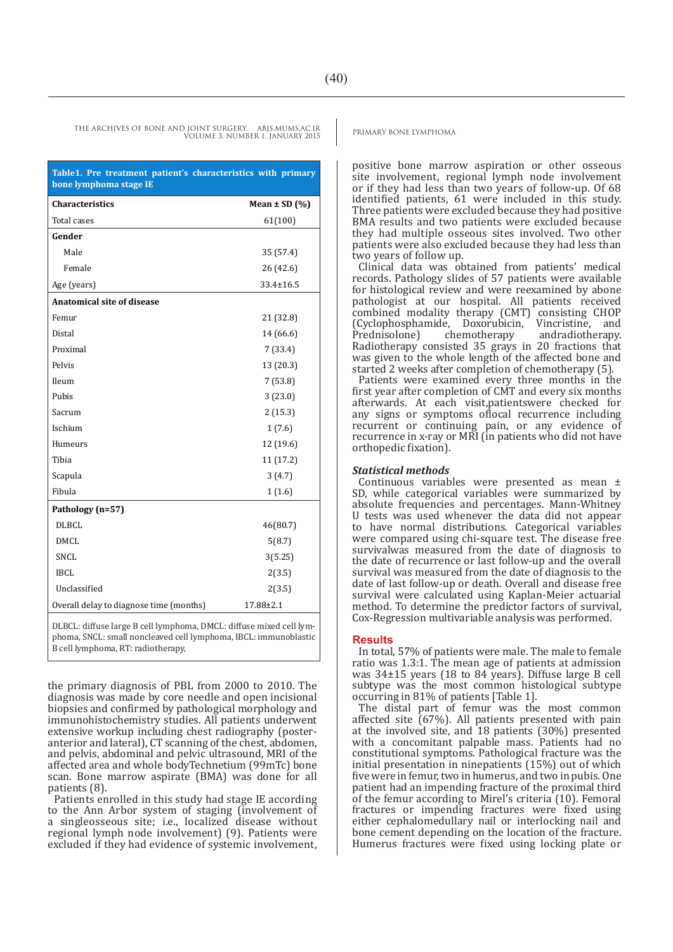positive bone marrow aspiration or other osseous site involvement, regional lymph node involvement or if they had less than two years of follow-up. Of 68 identified patients, 61 were included in this study. Three patients were excluded because they had positive BMA results and two patients were excluded because they had multiple osseous sites involved. Two other patients were also excluded because they had less than two years of follow up.

Clinical data was obtained from patients' medical records. Pathology slides of 57 patients were available for histological review and were reexamined by abone pathologist at our hospital. All patients received combined modality therapy (CMT) consisting CHOP (Cyclophosphamide, Doxorubicin, Vincristine, and Prednisolone) chemotherapy andradiotherapy. Radiotherapy consisted 35 grays in 20 fractions that was given to the whole length of the affected bone and started 2 weeks after completion of chemotherapy (5).

Patients were examined every three months in the first year after completion of CMT and every six months afterwards. At each visit,patientswere checked for any signs or symptoms oflocal recurrence including recurrent or continuing pain, or any evidence of recurrence in x-ray or MRI (in patients who did not have orthopedic fixation).

#### *Statistical methods*

Continuous variables were presented as mean ± SD, while categorical variables were summarized by absolute frequencies and percentages. Mann-Whitney U tests was used whenever the data did not appear to have normal distributions. Categorical variables were compared using chi-square test. The disease free survivalwas measured from the date of diagnosis to the date of recurrence or last follow-up and the overall survival was measured from the date of diagnosis to the date of last follow-up or death. Overall and disease free survival were calculated using Kaplan-Meier actuarial method. To determine the predictor factors of survival, Cox-Regression multivariable analysis was performed.

### **Results**

In total, 57% of patients were male. The male to female ratio was 1.3:1. The mean age of patients at admission was 34±15 years (18 to 84 years). Diffuse large B cell subtype was the most common histological subtype occurring in 81% of patients [Table 1].

The distal part of femur was the most common affected site (67%). All patients presented with pain at the involved site, and 18 patients (30%) presented with a concomitant palpable mass. Patients had no constitutional symptoms. Pathological fracture was the initial presentation in ninepatients (15%) out of which five were in femur, two in humerus, and two in pubis. One patient had an impending fracture of the proximal third of the femur according to Mirel's criteria (10). Femoral fractures or impending fractures were fixed using either cephalomedullary nail or interlocking nail and bone cement depending on the location of the fracture. Humerus fractures were fixed using locking plate or

THE ARCHIVES OF BONE AND JOINT SURGERY. ABJS.MUMS.AC.IR PRIMARY BONE LYMPHOMA VOLUME 3. NUMBER 1. JANUARY 2015

| Table1. Pre treatment patient's characteristics with primary<br>bone lymphoma stage IE |                   |  |  |  |  |
|----------------------------------------------------------------------------------------|-------------------|--|--|--|--|
| <b>Characteristics</b>                                                                 | Mean $\pm$ SD (%) |  |  |  |  |
| <b>Total cases</b>                                                                     | 61(100)           |  |  |  |  |
| Gender                                                                                 |                   |  |  |  |  |
| Male                                                                                   | 35 (57.4)         |  |  |  |  |
| Female                                                                                 | 26 (42.6)         |  |  |  |  |
| Age (years)                                                                            | $33.4 \pm 16.5$   |  |  |  |  |
| Anatomical site of disease                                                             |                   |  |  |  |  |
| Femur                                                                                  | 21 (32.8)         |  |  |  |  |
| Distal                                                                                 | 14 (66.6)         |  |  |  |  |
| Proximal                                                                               | 7(33.4)           |  |  |  |  |
| Pelvis                                                                                 | 13 (20.3)         |  |  |  |  |
| Ileum                                                                                  | 7(53.8)           |  |  |  |  |
| Pubis                                                                                  | 3(23.0)           |  |  |  |  |
| Sacrum                                                                                 | 2(15.3)           |  |  |  |  |
| Ischium                                                                                | 1(7.6)            |  |  |  |  |
| Humeurs                                                                                | 12 (19.6)         |  |  |  |  |
| Tibia                                                                                  | 11(17.2)          |  |  |  |  |
| Scapula                                                                                | 3(4.7)            |  |  |  |  |
| Fibula                                                                                 | 1(1.6)            |  |  |  |  |
| Pathology (n=57)                                                                       |                   |  |  |  |  |
| <b>DLBCL</b>                                                                           | 46(80.7)          |  |  |  |  |
| <b>DMCL</b>                                                                            | 5(8.7)            |  |  |  |  |
| <b>SNCL</b>                                                                            | 3(5.25)           |  |  |  |  |
| <b>IBCL</b>                                                                            | 2(3.5)            |  |  |  |  |
| Unclassified                                                                           | 2(3.5)            |  |  |  |  |
| Overall delay to diagnose time (months)                                                | 17.88±2.1         |  |  |  |  |

DLBCL: diffuse large B cell lymphoma, DMCL: diffuse mixed cell lymphoma, SNCL: small noncleaved cell lymphoma, IBCL: immunoblastic B cell lymphoma, RT: radiotherapy,

the primary diagnosis of PBL from 2000 to 2010. The diagnosis was made by core needle and open incisional biopsies and confirmed by pathological morphology and immunohistochemistry studies. All patients underwent extensive workup including chest radiography (posteranterior and lateral), CT scanning of the chest, abdomen, and pelvis, abdominal and pelvic ultrasound, MRI of the affected area and whole bodyTechnetium (99mTc) bone scan. Bone marrow aspirate (BMA) was done for all patients (8).

Patients enrolled in this study had stage IE according to the Ann Arbor system of staging (involvement of a singleosseous site; i.e., localized disease without regional lymph node involvement) (9). Patients were excluded if they had evidence of systemic involvement,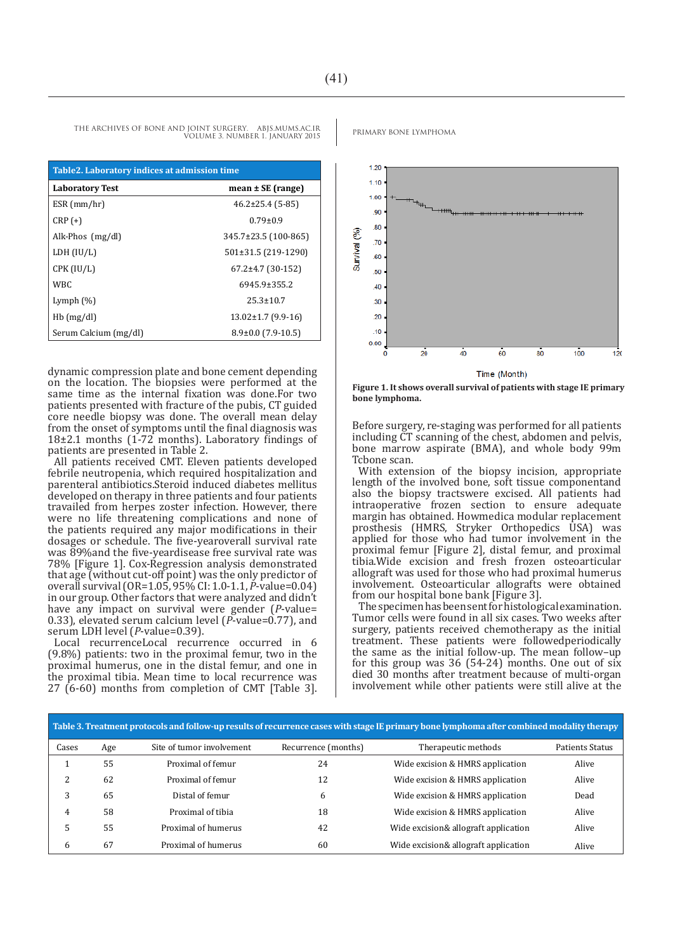| Table 2. Laboratory indices at admission time |                          |  |  |  |
|-----------------------------------------------|--------------------------|--|--|--|
| <b>Laboratory Test</b>                        | mean $\pm$ SE (range)    |  |  |  |
| $ESR$ (mm/hr)                                 | $46.2\pm25.4$ (5-85)     |  |  |  |
| $CRP (+)$                                     | $0.79 + 0.9$             |  |  |  |
| Alk-Phos $(mg/dl)$                            | 345.7±23.5 (100-865)     |  |  |  |
| LDH (IU/L)                                    | 501±31.5 (219-1290)      |  |  |  |
| CPK (IU/L)                                    | $67.2 \pm 4.7$ (30-152)  |  |  |  |
| WBC.                                          | $6945.9 \pm 355.2$       |  |  |  |
| Lymph $(\%)$                                  | $25.3 + 10.7$            |  |  |  |
| $Hb$ (mg/dl)                                  | $13.02 \pm 1.7$ (9.9-16) |  |  |  |
| Serum Calcium (mg/dl)                         | $8.9\pm0.0$ (7.9-10.5)   |  |  |  |

dynamic compression plate and bone cement depending on the location. The biopsies were performed at the same time as the internal fixation was done.For two patients presented with fracture of the pubis, CT guided core needle biopsy was done. The overall mean delay from the onset of symptoms until the final diagnosis was 18±2.1 months (1-72 months). Laboratory findings of patients are presented in Table 2.

All patients received CMT. Eleven patients developed febrile neutropenia, which required hospitalization and parenteral antibiotics.Steroid induced diabetes mellitus developed on therapy in three patients and four patients travailed from herpes zoster infection. However, there were no life threatening complications and none of the patients required any major modifications in their dosages or schedule. The five-yearoverall survival rate was 89%and the five-yeardisease free survival rate was 78% [Figure 1]. Cox-Regression analysis demonstrated that age (without cut-off point) was the only predictor of overall survival (OR=1.05, 95% CI: 1.0-1.1, *P*-value=0.04) in our group. Other factors that were analyzed and didn't have any impact on survival were gender (*P*-value= 0.33), elevated serum calcium level (*P*-value=0.77), and serum LDH level (*P*-value=0.39).

Local recurrenceLocal recurrence occurred in 6 (9.8%) patients: two in the proximal femur, two in the proximal humerus, one in the distal femur, and one in the proximal tibia. Mean time to local recurrence was 27 (6-60) months from completion of CMT [Table 3].

 $1.20$  $1.10$ 1.00  $.90$ 80 Survival (%) .70 .60 50 40  $30$ 20  $10$  $0.00$  $80$  $100$  $\bar{20}$ 40 60  $120$ Time (Month)

**Figure 1. It shows overall survival of patients with stage IE primary bone lymphoma.** 

Before surgery, re-staging was performed for all patients including CT scanning of the chest, abdomen and pelvis, bone marrow aspirate (BMA), and whole body 99m Tcbone scan.

With extension of the biopsy incision, appropriate length of the involved bone, soft tissue componentand also the biopsy tractswere excised. All patients had intraoperative frozen section to ensure adequate margin has obtained. Howmedica modular replacement prosthesis (HMRS, Stryker Orthopedics USA) was applied for those who had tumor involvement in the proximal femur [Figure 2], distal femur, and proximal tibia.Wide excision and fresh frozen osteoarticular allograft was used for those who had proximal humerus involvement. Osteoarticular allografts were obtained from our hospital bone bank [Figure 3].

The specimen has been sent for histological examination. Tumor cells were found in all six cases. Two weeks after surgery, patients received chemotherapy as the initial treatment. These patients were followedperiodically the same as the initial follow-up. The mean follow-up for this group was  $36$  (54-24) months. One out of six died 30 months after treatment because of multi-organ involvement while other patients were still alive at the

| Table 3. Treatment protocols and follow-up results of recurrence cases with stage IE primary bone lymphoma after combined modality therapy |     |                           |                     |                                      |                 |  |
|--------------------------------------------------------------------------------------------------------------------------------------------|-----|---------------------------|---------------------|--------------------------------------|-----------------|--|
| Cases                                                                                                                                      | Age | Site of tumor involvement | Recurrence (months) | Therapeutic methods                  | Patients Status |  |
|                                                                                                                                            | 55  | Proximal of femur         | 24                  | Wide excision & HMRS application     | Alive           |  |
| 2                                                                                                                                          | 62  | Proximal of femur         | 12                  | Wide excision & HMRS application     | Alive           |  |
| 3                                                                                                                                          | 65  | Distal of femur           | 6                   | Wide excision & HMRS application     | Dead            |  |
| 4                                                                                                                                          | 58  | Proximal of tibia         | 18                  | Wide excision & HMRS application     | Alive           |  |
| 5                                                                                                                                          | 55  | Proximal of humerus       | 42                  | Wide excision& allograft application | Alive           |  |
| 6                                                                                                                                          | 67  | Proximal of humerus       | 60                  | Wide excision& allograft application | Alive           |  |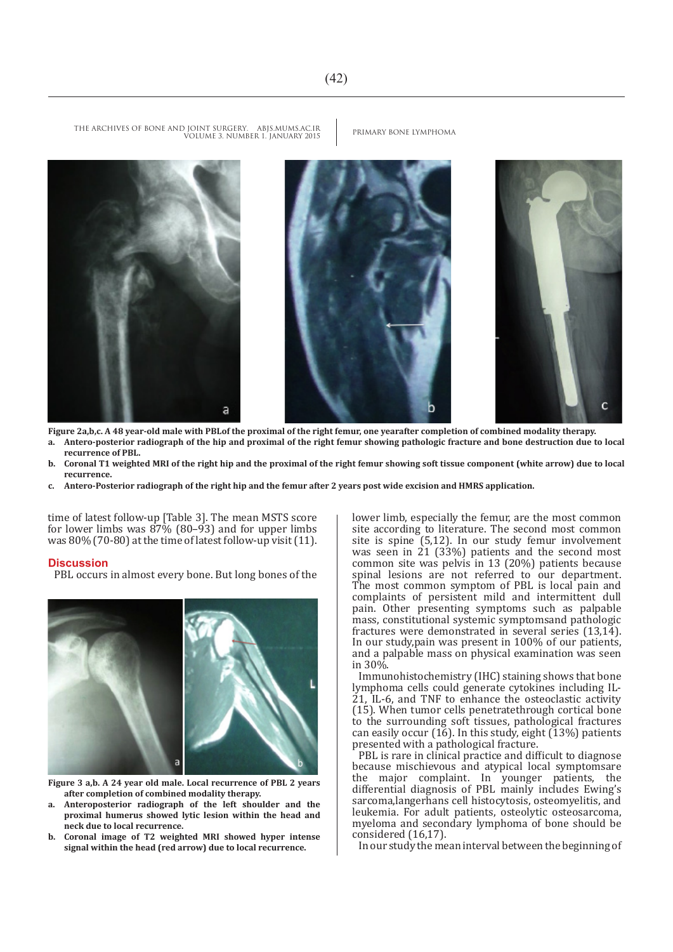THE ARCHIVES OF BONE AND JOINT SURGERY. ABJS.MUMS.AC.IR PRIMARY BONE LYMPHOMA VOLUME 3. NUMBER 1. JANUARY 2015







**Figure 2a,b,c. A 48 year-old male with PBLof the proximal of the right femur, one yearafter completion of combined modality therapy.**

- **a. Antero-posterior radiograph of the hip and proximal of the right femur showing pathologic fracture and bone destruction due to local recurrence of PBL.**
- **b. Coronal T1 weighted MRI of the right hip and the proximal of the right femur showing soft tissue component (white arrow) due to local recurrence.**
- **c. Antero-Posterior radiograph of the right hip and the femur after 2 years post wide excision and HMRS application.**

time of latest follow-up [Table 3]. The mean MSTS score for lower limbs was  $\frac{87\%}{60-93}$  and for upper limbs was 80% (70-80) at the time of latest follow-up visit (11).

#### **Discussion**

PBL occurs in almost every bone. But long bones of the



- **Figure 3 a,b. A 24 year old male. Local recurrence of PBL 2 years after completion of combined modality therapy.**
- **a. Anteroposterior radiograph of the left shoulder and the proximal humerus showed lytic lesion within the head and neck due to local recurrence.**
- **b. Coronal image of T2 weighted MRI showed hyper intense signal within the head (red arrow) due to local recurrence.**

lower limb, especially the femur, are the most common site according to literature. The second most common site is spine (5,12). In our study femur involvement was seen in 21 (33%) patients and the second most common site was pelvis in 13 (20%) patients because spinal lesions are not referred to our department. The most common symptom of PBL is local pain and complaints of persistent mild and intermittent dull pain. Other presenting symptoms such as palpable mass, constitutional systemic symptomsand pathologic fractures were demonstrated in several series (13,14). In our study,pain was present in 100% of our patients, and a palpable mass on physical examination was seen in 30%.

Immunohistochemistry (IHC) staining shows that bone lymphoma cells could generate cytokines including IL-21, IL-6, and TNF to enhance the osteoclastic activity (15). When tumor cells penetratethrough cortical bone to the surrounding soft tissues, pathological fractures can easily occur (16). In this study, eight (13%) patients presented with a pathological fracture.

PBL is rare in clinical practice and difficult to diagnose because mischievous and atypical local symptomsare the major complaint. In younger patients, the differential diagnosis of PBL mainly includes Ewing's sarcoma,langerhans cell histocytosis, osteomyelitis, and leukemia. For adult patients, osteolytic osteosarcoma, myeloma and secondary lymphoma of bone should be considered (16,17).

In our study the mean interval between the beginning of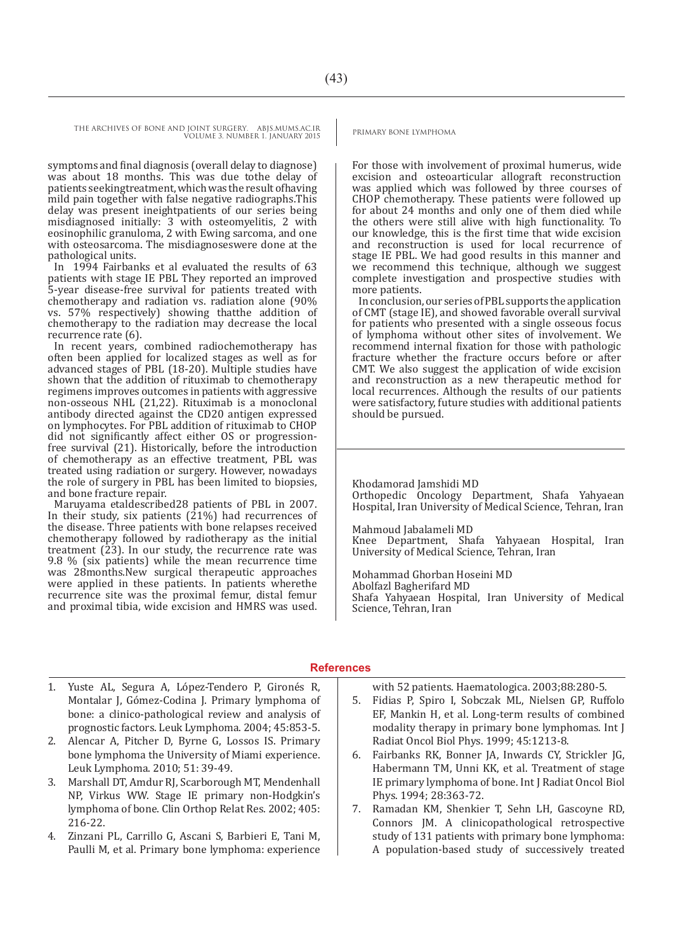THE ARCHIVES OF BONE AND JOINT SURGERY. ABJS.MUMS.AC.IR PRIMARY BONE LYMPHOMA VOLUME 3. NUMBER 1. JANUARY 2015

symptoms and final diagnosis (overall delay to diagnose) was about 18 months. This was due tothe delay of patients seekingtreatment, which was the result ofhaving mild pain together with false negative radiographs.This delay was present ineightpatients of our series being misdiagnosed initially: 3 with osteomyelitis, 2 with eosinophilic granuloma, 2 with Ewing sarcoma, and one with osteosarcoma. The misdiagnoseswere done at the pathological units.

In 1994 Fairbanks et al evaluated the results of 63 patients with stage IE PBL They reported an improved 5-year disease-free survival for patients treated with chemotherapy and radiation vs. radiation alone (90% vs. 57% respectively) showing thatthe addition of chemotherapy to the radiation may decrease the local recurrence rate (6).

In recent years, combined radiochemotherapy has often been applied for localized stages as well as for advanced stages of PBL (18-20). Multiple studies have shown that the addition of rituximab to chemotherapy regimens improves outcomes in patients with aggressive non-osseous NHL (21,22). Rituximab is a monoclonal antibody directed against the CD20 antigen expressed on lymphocytes. For PBL addition of rituximab to CHOP did not significantly affect either OS or progressionfree survival (21). Historically, before the introduction of chemotherapy as an effective treatment, PBL was treated using radiation or surgery. However, nowadays the role of surgery in PBL has been limited to biopsies, and bone fracture repair.

Maruyama etaldescribed28 patients of PBL in 2007. In their study, six patients (21%) had recurrences of the disease. Three patients with bone relapses received chemotherapy followed by radiotherapy as the initial treatment  $(23)$ . In our study, the recurrence rate was 9.8 % (six patients) while the mean recurrence time was 28months.New surgical therapeutic approaches were applied in these patients. In patients wherethe recurrence site was the proximal femur, distal femur and proximal tibia, wide excision and HMRS was used.

For those with involvement of proximal humerus, wide excision and osteoarticular allograft reconstruction was applied which was followed by three courses of CHOP chemotherapy. These patients were followed up for about 24 months and only one of them died while the others were still alive with high functionality. To our knowledge, this is the first time that wide excision and reconstruction is used for local recurrence of stage IE PBL. We had good results in this manner and we recommend this technique, although we suggest complete investigation and prospective studies with more patients.

In conclusion, our series of PBL supports the application of CMT (stage IE), and showed favorable overall survival for patients who presented with a single osseous focus of lymphoma without other sites of involvement. We recommend internal fixation for those with pathologic fracture whether the fracture occurs before or after CMT. We also suggest the application of wide excision and reconstruction as a new therapeutic method for local recurrences. Although the results of our patients were satisfactory, future studies with additional patients should be pursued.

Khodamorad Jamshidi MD Orthopedic Oncology Department, Shafa Yahyaean Hospital, Iran University of Medical Science, Tehran, Iran

Mahmoud Jabalameli MD Knee Department, Shafa Yahyaean Hospital, Iran University of Medical Science, Tehran, Iran

Mohammad Ghorban Hoseini MD Abolfazl Bagherifard MD Shafa Yahyaean Hospital, Iran University of Medical Science, Tehran, Iran

### **References**

- 1. Yuste AL, Segura A, López-Tendero P, Gironés R, Montalar J, Gómez-Codina J. Primary lymphoma of bone: a clinico-pathological review and analysis of prognostic factors. Leuk Lymphoma. 2004; 45:853-5.
- 2. Alencar A, Pitcher D, Byrne G, Lossos IS. Primary bone lymphoma the University of Miami experience. Leuk Lymphoma. 2010; 51: 39-49.
- 3. Marshall DT, Amdur RJ, Scarborough MT, Mendenhall NP, Virkus WW. Stage IE primary non-Hodgkin's lymphoma of bone. Clin Orthop Relat Res. 2002; 405: 216-22.
- 4. Zinzani PL, Carrillo G, Ascani S, Barbieri E, Tani M, Paulli M, et al. Primary bone lymphoma: experience

with 52 patients. Haematologica. 2003;88:280-5.

- 5. Fidias P, Spiro I, Sobczak ML, Nielsen GP, Ruffolo EF, Mankin H, et al. Long-term results of combined modality therapy in primary bone lymphomas. Int J Radiat Oncol Biol Phys. 1999; 45:1213-8.
- 6. Fairbanks RK, Bonner JA, Inwards CY, Strickler JG, Habermann TM, Unni KK, et al. Treatment of stage IE primary lymphoma of bone. Int J Radiat Oncol Biol Phys. 1994; 28:363-72.
- 7. Ramadan KM, Shenkier T, Sehn LH, Gascoyne RD, Connors JM. A clinicopathological retrospective study of 131 patients with primary bone lymphoma: A population-based study of successively treated